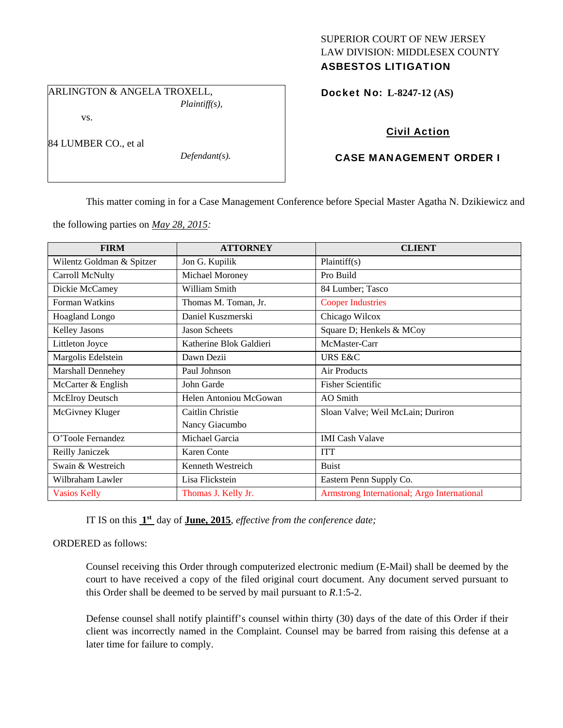## SUPERIOR COURT OF NEW JERSEY LAW DIVISION: MIDDLESEX COUNTY ASBESTOS LITIGATION

ARLINGTON & ANGELA TROXELL, *Plaintiff(s),* 

vs.

84 LUMBER CO., et al

*Defendant(s).* 

Docket No: **L-8247-12 (AS)** 

# Civil Action

## CASE MANAGEMENT ORDER I

This matter coming in for a Case Management Conference before Special Master Agatha N. Dzikiewicz and

the following parties on *May 28, 2015:* 

| <b>FIRM</b>               | <b>ATTORNEY</b>         | <b>CLIENT</b>                               |
|---------------------------|-------------------------|---------------------------------------------|
| Wilentz Goldman & Spitzer | Jon G. Kupilik          | Plaintiff(s)                                |
| Carroll McNulty           | Michael Moroney         | Pro Build                                   |
| Dickie McCamey            | William Smith           | 84 Lumber; Tasco                            |
| Forman Watkins            | Thomas M. Toman, Jr.    | <b>Cooper Industries</b>                    |
| <b>Hoagland Longo</b>     | Daniel Kuszmerski       | Chicago Wilcox                              |
| <b>Kelley Jasons</b>      | <b>Jason Scheets</b>    | Square D; Henkels & MCoy                    |
| Littleton Joyce           | Katherine Blok Galdieri | McMaster-Carr                               |
| Margolis Edelstein        | Dawn Dezii              | URS E&C                                     |
| <b>Marshall Dennehey</b>  | Paul Johnson            | Air Products                                |
| McCarter & English        | John Garde              | <b>Fisher Scientific</b>                    |
| <b>McElroy Deutsch</b>    | Helen Antoniou McGowan  | AO Smith                                    |
| McGivney Kluger           | Caitlin Christie        | Sloan Valve; Weil McLain; Duriron           |
|                           | Nancy Giacumbo          |                                             |
| O'Toole Fernandez         | Michael Garcia          | <b>IMI</b> Cash Valave                      |
| Reilly Janiczek           | <b>Karen Conte</b>      | <b>ITT</b>                                  |
| Swain & Westreich         | Kenneth Westreich       | <b>Buist</b>                                |
| Wilbraham Lawler          | Lisa Flickstein         | Eastern Penn Supply Co.                     |
| <b>Vasios Kelly</b>       | Thomas J. Kelly Jr.     | Armstrong International; Argo International |

IT IS on this **1st** day of **June, 2015**, *effective from the conference date;*

## ORDERED as follows:

Counsel receiving this Order through computerized electronic medium (E-Mail) shall be deemed by the court to have received a copy of the filed original court document. Any document served pursuant to this Order shall be deemed to be served by mail pursuant to *R*.1:5-2.

Defense counsel shall notify plaintiff's counsel within thirty (30) days of the date of this Order if their client was incorrectly named in the Complaint. Counsel may be barred from raising this defense at a later time for failure to comply.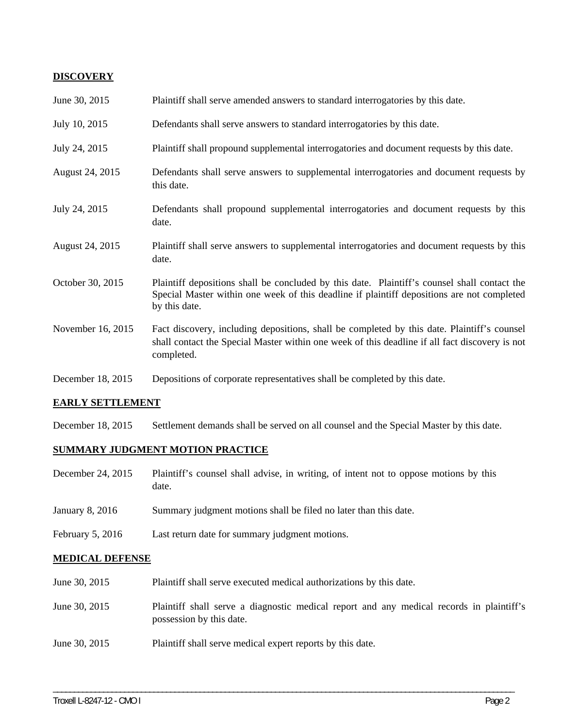### **DISCOVERY**

| June 30, 2015     | Plaintiff shall serve amended answers to standard interrogatories by this date.                                                                                                                             |
|-------------------|-------------------------------------------------------------------------------------------------------------------------------------------------------------------------------------------------------------|
| July 10, 2015     | Defendants shall serve answers to standard interrogatories by this date.                                                                                                                                    |
| July 24, 2015     | Plaintiff shall propound supplemental interrogatories and document requests by this date.                                                                                                                   |
| August 24, 2015   | Defendants shall serve answers to supplemental interrogatories and document requests by<br>this date.                                                                                                       |
| July 24, 2015     | Defendants shall propound supplemental interrogatories and document requests by this<br>date.                                                                                                               |
| August 24, 2015   | Plaintiff shall serve answers to supplemental interrogatories and document requests by this<br>date.                                                                                                        |
| October 30, 2015  | Plaintiff depositions shall be concluded by this date. Plaintiff's counsel shall contact the<br>Special Master within one week of this deadline if plaintiff depositions are not completed<br>by this date. |
| November 16, 2015 | Fact discovery, including depositions, shall be completed by this date. Plaintiff's counsel<br>shall contact the Special Master within one week of this deadline if all fact discovery is not<br>completed. |

December 18, 2015 Depositions of corporate representatives shall be completed by this date.

#### **EARLY SETTLEMENT**

December 18, 2015 Settlement demands shall be served on all counsel and the Special Master by this date.

### **SUMMARY JUDGMENT MOTION PRACTICE**

- December 24, 2015 Plaintiff's counsel shall advise, in writing, of intent not to oppose motions by this date.
- January 8, 2016 Summary judgment motions shall be filed no later than this date.
- February 5, 2016 Last return date for summary judgment motions.

#### **MEDICAL DEFENSE**

June 30, 2015 Plaintiff shall serve executed medical authorizations by this date. June 30, 2015 Plaintiff shall serve a diagnostic medical report and any medical records in plaintiff's possession by this date. June 30, 2015 Plaintiff shall serve medical expert reports by this date.

\_\_\_\_\_\_\_\_\_\_\_\_\_\_\_\_\_\_\_\_\_\_\_\_\_\_\_\_\_\_\_\_\_\_\_\_\_\_\_\_\_\_\_\_\_\_\_\_\_\_\_\_\_\_\_\_\_\_\_\_\_\_\_\_\_\_\_\_\_\_\_\_\_\_\_\_\_\_\_\_\_\_\_\_\_\_\_\_\_\_\_\_\_\_\_\_\_\_\_\_\_\_\_\_\_\_\_\_\_\_